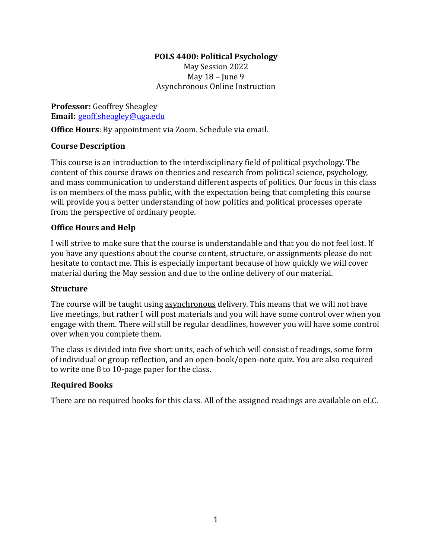# **POLS 4400: Political Psychology**

May Session 2022 May  $18$  – June 9 Asynchronous Online Instruction

**Professor:** Geoffrey Sheagley **Email:** geoff.sheagley@uga.edu

**Office Hours**: By appointment via Zoom. Schedule via email.

## **Course Description**

This course is an introduction to the interdisciplinary field of political psychology. The content of this course draws on theories and research from political science, psychology, and mass communication to understand different aspects of politics. Our focus in this class is on members of the mass public, with the expectation being that completing this course will provide you a better understanding of how politics and political processes operate from the perspective of ordinary people.

## **Office Hours and Help**

I will strive to make sure that the course is understandable and that you do not feel lost. If you have any questions about the course content, structure, or assignments please do not hesitate to contact me. This is especially important because of how quickly we will cover material during the May session and due to the online delivery of our material.

#### **Structure**

The course will be taught using asynchronous delivery. This means that we will not have live meetings, but rather I will post materials and you will have some control over when you engage with them. There will still be regular deadlines, however you will have some control over when you complete them.

The class is divided into five short units, each of which will consist of readings, some form of individual or group reflection, and an open-book/open-note quiz. You are also required to write one  $8$  to  $10$ -page paper for the class.

#### **Required Books**

There are no required books for this class. All of the assigned readings are available on eLC.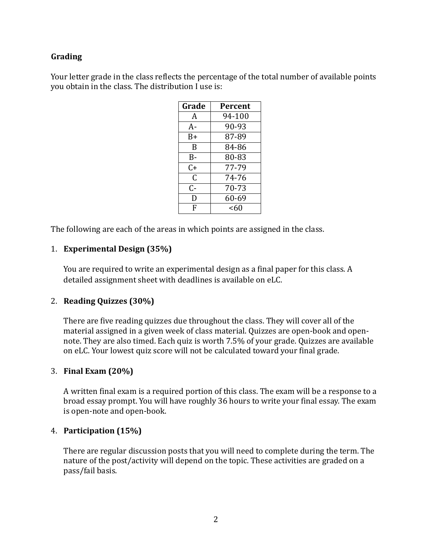## **Grading**

Your letter grade in the class reflects the percentage of the total number of available points you obtain in the class. The distribution I use is:

| Grade | Percent |
|-------|---------|
| A     | 94-100  |
| A-    | 90-93   |
| B+    | 87-89   |
| B     | 84-86   |
| B-    | 80-83   |
| C+    | 77-79   |
| C     | 74-76   |
| C-    | 70-73   |
| D     | 60-69   |
| F     | <60     |

The following are each of the areas in which points are assigned in the class.

#### 1. **Experimental Design (35%)**

You are required to write an experimental design as a final paper for this class. A detailed assignment sheet with deadlines is available on eLC.

#### 2. **Reading Quizzes** (30%)

There are five reading quizzes due throughout the class. They will cover all of the material assigned in a given week of class material. Quizzes are open-book and opennote. They are also timed. Each quiz is worth 7.5% of your grade. Quizzes are available on eLC. Your lowest quiz score will not be calculated toward your final grade.

#### 3. **Final Exam (20%)**

A written final exam is a required portion of this class. The exam will be a response to a broad essay prompt. You will have roughly 36 hours to write your final essay. The exam is open-note and open-book.

#### 4. **Participation (15%)**

There are regular discussion posts that you will need to complete during the term. The nature of the post/activity will depend on the topic. These activities are graded on a pass/fail basis.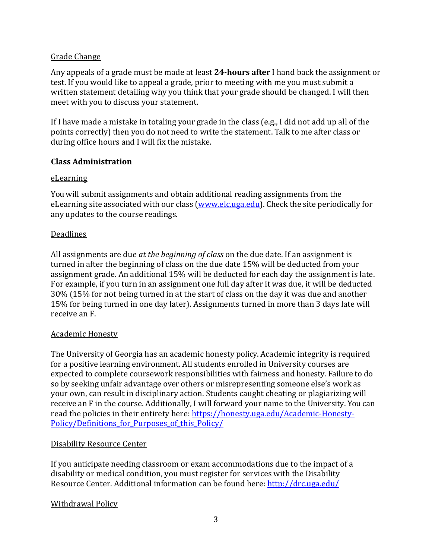## Grade Change

Any appeals of a grade must be made at least **24-hours after** I hand back the assignment or test. If you would like to appeal a grade, prior to meeting with me you must submit a written statement detailing why you think that your grade should be changed. I will then meet with you to discuss your statement.

If I have made a mistake in totaling your grade in the class  $(e.g., I did not add up all of the$ points correctly) then you do not need to write the statement. Talk to me after class or during office hours and I will fix the mistake.

#### **Class Administration**

#### eLearning

You will submit assignments and obtain additional reading assignments from the eLearning site associated with our class (www.elc.uga.edu). Check the site periodically for any updates to the course readings.

## Deadlines

All assignments are due *at the beginning of class* on the due date. If an assignment is turned in after the beginning of class on the due date 15% will be deducted from your assignment grade. An additional 15% will be deducted for each day the assignment is late. For example, if you turn in an assignment one full day after it was due, it will be deducted 30% (15% for not being turned in at the start of class on the day it was due and another 15% for being turned in one day later). Assignments turned in more than 3 days late will receive an F.

#### **Academic Honesty**

The University of Georgia has an academic honesty policy. Academic integrity is required for a positive learning environment. All students enrolled in University courses are expected to complete coursework responsibilities with fairness and honesty. Failure to do so by seeking unfair advantage over others or misrepresenting someone else's work as your own, can result in disciplinary action. Students caught cheating or plagiarizing will receive an F in the course. Additionally, I will forward your name to the University. You can read the policies in their entirety here: https://honesty.uga.edu/Academic-Honesty-Policy/Definitions for Purposes of this Policy/

#### Disability Resource Center

If you anticipate needing classroom or exam accommodations due to the impact of a disability or medical condition, you must register for services with the Disability Resource Center. Additional information can be found here: http://drc.uga.edu/

#### **Withdrawal Policy**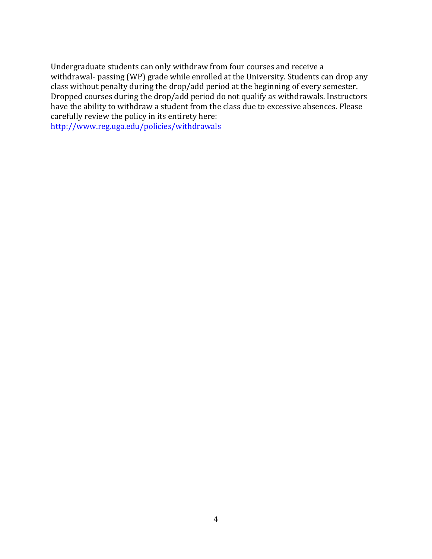Undergraduate students can only withdraw from four courses and receive a withdrawal- passing (WP) grade while enrolled at the University. Students can drop any class without penalty during the drop/add period at the beginning of every semester. Dropped courses during the drop/add period do not qualify as withdrawals. Instructors have the ability to withdraw a student from the class due to excessive absences. Please carefully review the policy in its entirety here: http://www.reg.uga.edu/policies/withdrawals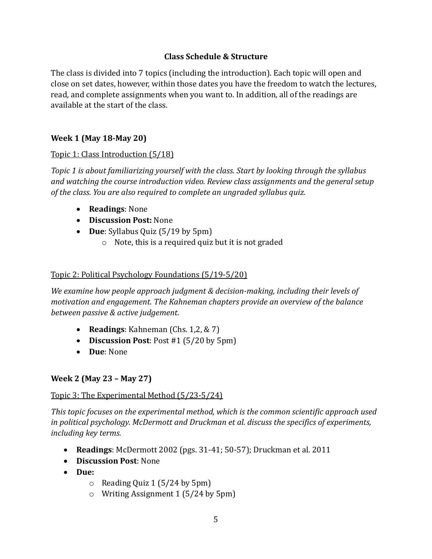## **Class Schedule & Structure**

The class is divided into 7 topics (including the introduction). Each topic will open and close on set dates, however, within those dates you have the freedom to watch the lectures, read, and complete assignments when you want to. In addition, all of the readings are available at the start of the class.

## **Week 1 (May 18-May 20)**

#### Topic 1: Class Introduction (5/18)

*Topic 1* is about familiarizing yourself with the class. Start by looking through the syllabus and watching the course introduction video. Review class assignments and the general setup of the class. You are also required to complete an ungraded syllabus quiz.

- **Readings:** None
- **Discussion Post:** None
- **Due**: Syllabus Quiz (5/19 by 5pm)
	- $\circ$  Note, this is a required quiz but it is not graded

#### Topic 2: Political Psychology Foundations (5/19-5/20)

*We examine how people approach judgment & decision-making, including their levels of motivation and engagement. The Kahneman chapters provide an overview of the balance between passive & active judgement.* 

- **Readings**: Kahneman (Chs. 1,2, & 7)
- **Discussion Post**: Post #1 (5/20 by 5pm)
- **Due**: None

#### **Week 2 (May 23 – May 27)**

#### Topic 3: The Experimental Method (5/23-5/24)

This topic focuses on the experimental method, which is the common scientific approach used in political psychology. McDermott and Druckman et al. discuss the specifics of experiments, *including key terms.* 

- **Readings**: McDermott 2002 (pgs. 31-41; 50-57); Druckman et al. 2011
- **Discussion Post:** None
- **Due:**
	- $\circ$  Reading Quiz 1 (5/24 by 5pm)
	- $\circ$  Writing Assignment 1 (5/24 by 5pm)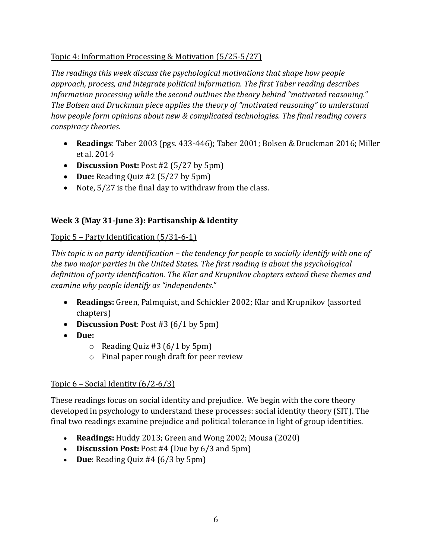# Topic 4: Information Processing & Motivation (5/25-5/27)

The readings this week discuss the psychological motivations that shape how people approach, process, and integrate political information. The first Taber reading describes information processing while the second outlines the theory behind "motivated reasoning." The Bolsen and Druckman piece applies the theory of "motivated reasoning" to understand *how people form opinions about new & complicated technologies. The final reading covers conspiracy theories.* 

- **Readings**: Taber 2003 (pgs. 433-446); Taber 2001; Bolsen & Druckman 2016; Miller et al. 2014
- **Discussion Post:** Post #2 (5/27 by 5pm)
- **Due:** Reading Quiz #2 (5/27 by 5pm)
- Note,  $5/27$  is the final day to withdraw from the class.

# **Week 3 (May 31-June 3): Partisanship & Identity**

## Topic  $5$  – Party Identification  $(5/31-6-1)$

*This* topic is on party identification – the tendency for people to socially identify with one of the two major parties in the United States. The first reading is about the psychological definition of party identification. The Klar and Krupnikov chapters extend these themes and examine why people *identify* as "independents."

- **Readings:** Green, Palmquist, and Schickler 2002; Klar and Krupnikov (assorted chapters)
- **Discussion Post**: Post #3 (6/1 by 5pm)
- **Due:** 
	- $\circ$  Reading Quiz #3 (6/1 by 5pm)
	- $\circ$  Final paper rough draft for peer review

## Topic  $6$  – Social Identity  $(6/2-6/3)$

These readings focus on social identity and prejudice. We begin with the core theory developed in psychology to understand these processes: social identity theory (SIT). The final two readings examine prejudice and political tolerance in light of group identities.

- **Readings:** Huddy 2013; Green and Wong 2002; Mousa (2020)
- **Discussion Post:** Post #4 (Due by 6/3 and 5pm)
- **Due**: Reading Quiz #4 (6/3 by 5pm)